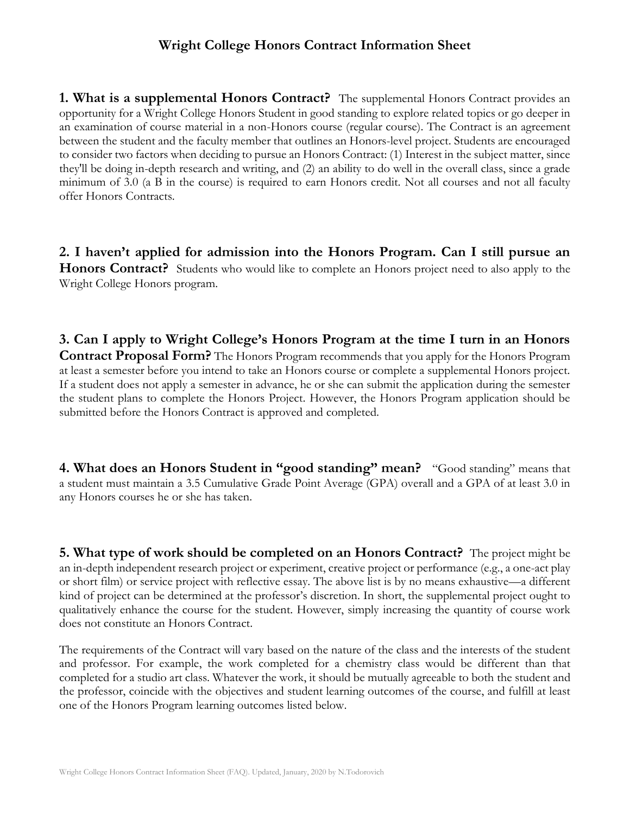## **Wright College Honors Contract Information Sheet**

**1. What is a supplemental Honors Contract?** The supplemental Honors Contract provides an opportunity for a Wright College Honors Student in good standing to explore related topics or go deeper in an examination of course material in a non-Honors course (regular course). The Contract is an agreement between the student and the faculty member that outlines an Honors-level project. Students are encouraged to consider two factors when deciding to pursue an Honors Contract: (1) Interest in the subject matter, since they'll be doing in-depth research and writing, and (2) an ability to do well in the overall class, since a grade minimum of 3.0 (a B in the course) is required to earn Honors credit. Not all courses and not all faculty offer Honors Contracts.

**2. I haven't applied for admission into the Honors Program. Can I still pursue an Honors Contract?** Students who would like to complete an Honors project need to also apply to the Wright College Honors program.

**3. Can I apply to Wright College's Honors Program at the time I turn in an Honors Contract Proposal Form?** The Honors Program recommends that you apply for the Honors Program at least a semester before you intend to take an Honors course or complete a supplemental Honors project. If a student does not apply a semester in advance, he or she can submit the application during the semester the student plans to complete the Honors Project. However, the Honors Program application should be submitted before the Honors Contract is approved and completed.

**4. What does an Honors Student in "good standing" mean?** "Good standing" means that a student must maintain a 3.5 Cumulative Grade Point Average (GPA) overall and a GPA of at least 3.0 in any Honors courses he or she has taken.

**5. What type of work should be completed on an Honors Contract?** The project might be an in-depth independent research project or experiment, creative project or performance (e.g., a one-act play or short film) or service project with reflective essay. The above list is by no means exhaustive—a different kind of project can be determined at the professor's discretion. In short, the supplemental project ought to qualitatively enhance the course for the student. However, simply increasing the quantity of course work does not constitute an Honors Contract.

The requirements of the Contract will vary based on the nature of the class and the interests of the student and professor. For example, the work completed for a chemistry class would be different than that completed for a studio art class. Whatever the work, it should be mutually agreeable to both the student and the professor, coincide with the objectives and student learning outcomes of the course, and fulfill at least one of the Honors Program learning outcomes listed below.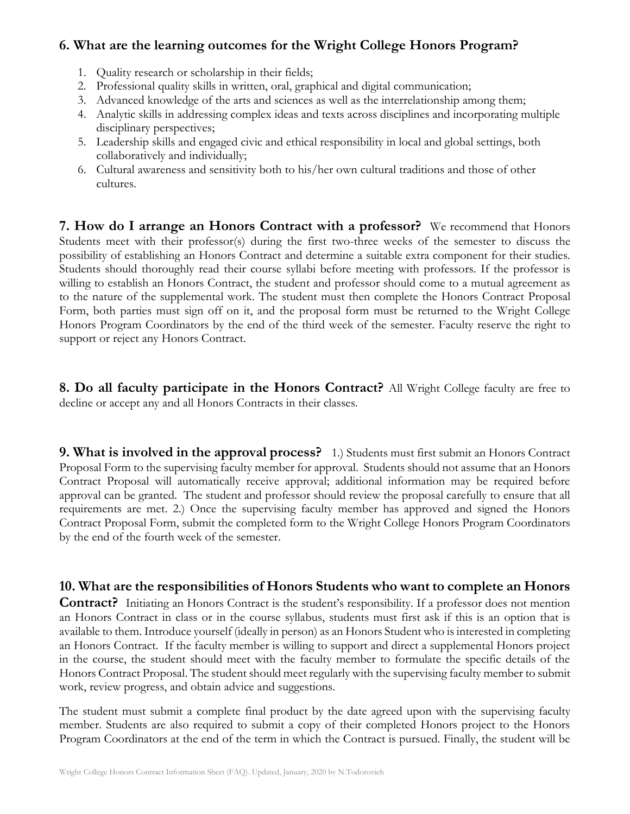## **6. What are the learning outcomes for the Wright College Honors Program?**

- 1. Quality research or scholarship in their fields;
- 2. Professional quality skills in written, oral, graphical and digital communication;
- 3. Advanced knowledge of the arts and sciences as well as the interrelationship among them;
- 4. Analytic skills in addressing complex ideas and texts across disciplines and incorporating multiple disciplinary perspectives;
- 5. Leadership skills and engaged civic and ethical responsibility in local and global settings, both collaboratively and individually;
- 6. Cultural awareness and sensitivity both to his/her own cultural traditions and those of other cultures.

**7. How do I arrange an Honors Contract with a professor?** We recommend that Honors Students meet with their professor(s) during the first two-three weeks of the semester to discuss the possibility of establishing an Honors Contract and determine a suitable extra component for their studies. Students should thoroughly read their course syllabi before meeting with professors. If the professor is willing to establish an Honors Contract, the student and professor should come to a mutual agreement as to the nature of the supplemental work. The student must then complete the Honors Contract Proposal Form, both parties must sign off on it, and the proposal form must be returned to the Wright College Honors Program Coordinators by the end of the third week of the semester. Faculty reserve the right to support or reject any Honors Contract.

**8. Do all faculty participate in the Honors Contract?** All Wright College faculty are free to decline or accept any and all Honors Contracts in their classes.

**9. What is involved in the approval process?** 1.) Students must first submit an Honors Contract Proposal Form to the supervising faculty member for approval. Students should not assume that an Honors Contract Proposal will automatically receive approval; additional information may be required before approval can be granted. The student and professor should review the proposal carefully to ensure that all requirements are met. 2.) Once the supervising faculty member has approved and signed the Honors Contract Proposal Form, submit the completed form to the Wright College Honors Program Coordinators by the end of the fourth week of the semester.

## **10. What are the responsibilities of Honors Students who want to complete an Honors**

**Contract?** Initiating an Honors Contract is the student's responsibility. If a professor does not mention an Honors Contract in class or in the course syllabus, students must first ask if this is an option that is available to them. Introduce yourself (ideally in person) as an Honors Student who is interested in completing an Honors Contract. If the faculty member is willing to support and direct a supplemental Honors project in the course, the student should meet with the faculty member to formulate the specific details of the Honors Contract Proposal. The student should meet regularly with the supervising faculty member to submit work, review progress, and obtain advice and suggestions.

The student must submit a complete final product by the date agreed upon with the supervising faculty member. Students are also required to submit a copy of their completed Honors project to the Honors Program Coordinators at the end of the term in which the Contract is pursued. Finally, the student will be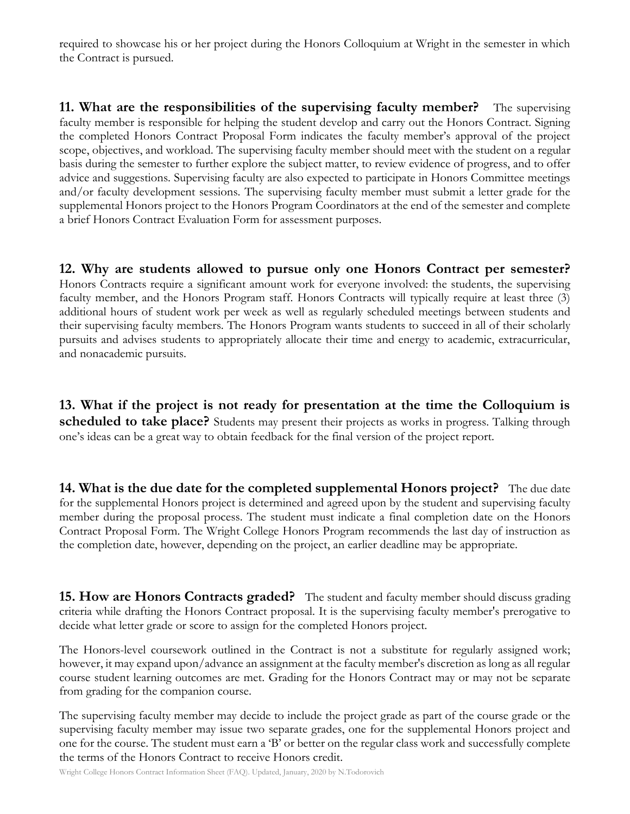required to showcase his or her project during the Honors Colloquium at Wright in the semester in which the Contract is pursued.

**11. What are the responsibilities of the supervising faculty member?** The supervising faculty member is responsible for helping the student develop and carry out the Honors Contract. Signing the completed Honors Contract Proposal Form indicates the faculty member's approval of the project scope, objectives, and workload. The supervising faculty member should meet with the student on a regular basis during the semester to further explore the subject matter, to review evidence of progress, and to offer advice and suggestions. Supervising faculty are also expected to participate in Honors Committee meetings and/or faculty development sessions. The supervising faculty member must submit a letter grade for the supplemental Honors project to the Honors Program Coordinators at the end of the semester and complete a brief Honors Contract Evaluation Form for assessment purposes.

**12. Why are students allowed to pursue only one Honors Contract per semester?** Honors Contracts require a significant amount work for everyone involved: the students, the supervising faculty member, and the Honors Program staff. Honors Contracts will typically require at least three (3) additional hours of student work per week as well as regularly scheduled meetings between students and their supervising faculty members. The Honors Program wants students to succeed in all of their scholarly pursuits and advises students to appropriately allocate their time and energy to academic, extracurricular, and nonacademic pursuits.

**13. What if the project is not ready for presentation at the time the Colloquium is scheduled to take place?** Students may present their projects as works in progress. Talking through one's ideas can be a great way to obtain feedback for the final version of the project report.

**14. What is the due date for the completed supplemental Honors project?** The due date for the supplemental Honors project is determined and agreed upon by the student and supervising faculty member during the proposal process. The student must indicate a final completion date on the Honors Contract Proposal Form. The Wright College Honors Program recommends the last day of instruction as the completion date, however, depending on the project, an earlier deadline may be appropriate.

**15. How are Honors Contracts graded?** The student and faculty member should discuss grading criteria while drafting the Honors Contract proposal. It is the supervising faculty member's prerogative to decide what letter grade or score to assign for the completed Honors project.

The Honors-level coursework outlined in the Contract is not a substitute for regularly assigned work; however, it may expand upon/advance an assignment at the faculty member's discretion as long as all regular course student learning outcomes are met. Grading for the Honors Contract may or may not be separate from grading for the companion course.

The supervising faculty member may decide to include the project grade as part of the course grade or the supervising faculty member may issue two separate grades, one for the supplemental Honors project and one for the course. The student must earn a 'B' or better on the regular class work and successfully complete the terms of the Honors Contract to receive Honors credit.